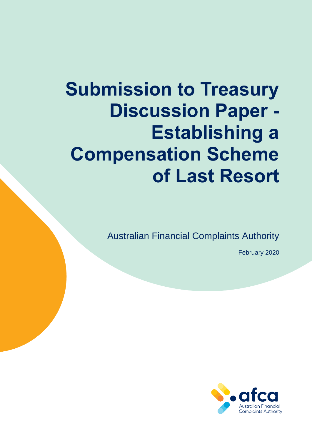# **Submission to Treasury Discussion Paper - Establishing a Compensation Scheme of Last Resort**

Australian Financial Complaints Authority

February 2020

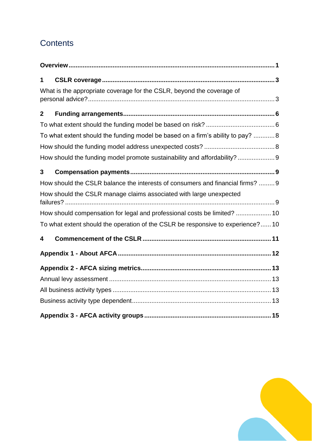# **Contents**

| 1            |                                                                                 |
|--------------|---------------------------------------------------------------------------------|
|              | What is the appropriate coverage for the CSLR, beyond the coverage of           |
| $\mathbf{2}$ |                                                                                 |
|              |                                                                                 |
|              | To what extent should the funding model be based on a firm's ability to pay? 8  |
|              |                                                                                 |
|              | How should the funding model promote sustainability and affordability?9         |
| 3            |                                                                                 |
|              | How should the CSLR balance the interests of consumers and financial firms?  9  |
|              | How should the CSLR manage claims associated with large unexpected              |
|              | How should compensation for legal and professional costs be limited?  10        |
|              | To what extent should the operation of the CSLR be responsive to experience? 10 |
| 4            |                                                                                 |
|              |                                                                                 |
|              |                                                                                 |
|              |                                                                                 |
|              |                                                                                 |
|              |                                                                                 |
|              |                                                                                 |

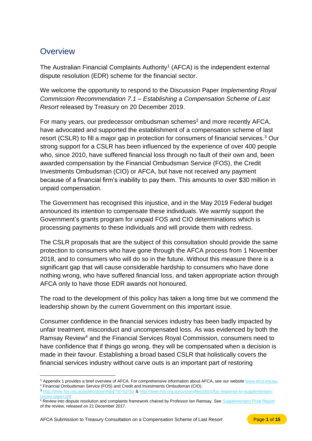## <span id="page-2-0"></span>**Overview**

The Australian Financial Complaints Authority<sup>1</sup> (AFCA) is the independent external dispute resolution (EDR) scheme for the financial sector.

We welcome the opportunity to respond to the Discussion Paper *Implementing Royal Commission Recommendation 7.1 – Establishing a Compensation Scheme of Last Resort* released by Treasury on 20 December 2019.

For many vears, our predecessor ombudsman schemes<sup>2</sup> and more recently AFCA. have advocated and supported the establishment of a compensation scheme of last resort (CSLR) to fill a major gap in protection for consumers of financial services.<sup>3</sup> Our strong support for a CSLR has been influenced by the experience of over 400 people who, since 2010, have suffered financial loss through no fault of their own and, been awarded compensation by the Financial Ombudsman Service (FOS), the Credit Investments Ombudsman (CIO) or AFCA, but have not received any payment because of a financial firm's inability to pay them. This amounts to over \$30 million in unpaid compensation.

The Government has recognised this injustice, and in the May 2019 Federal budget announced its intention to compensate these individuals. We warmly support the Government's grants program for unpaid FOS and CIO determinations which is processing payments to these individuals and will provide them with redress.

The CSLR proposals that are the subject of this consultation should provide the same protection to consumers who have gone through the AFCA process from 1 November 2018, and to consumers who will do so in the future. Without this measure there is a significant gap that will cause considerable hardship to consumers who have done nothing wrong, who have suffered financial loss, and taken appropriate action through AFCA only to have those EDR awards not honoured.

The road to the development of this policy has taken a long time but we commend the leadership shown by the current Government on this important issue.

Consumer confidence in the financial services industry has been badly impacted by unfair treatment, misconduct and uncompensated loss. As was evidenced by both the Ramsay Review<sup>4</sup> and the Financial Services Royal Commission, consumers need to have confidence that if things go wrong, they will be compensated when a decision is made in their favour. Establishing a broad based CSLR that holistically covers the financial services industry without carve outs is an important part of restoring

 $\overline{a}$ <sup>1</sup> Appendix 1 provides a brief overview of AFCA. For comprehensive information about AFCA, see our websit[e www.afca.org.au.](http://www.afca.org.au/)  <sup>2</sup> Financial Ombudsman Service (FOS) and Credit and Investments Ombudsman (CIO).

<sup>3</sup> <http://www.fos.org.au/public/download/?id=53753> [& http://www.fos.org.au/custom/files/docs/fos-response-to-supplementary](http://www.fos.org.au/custom/files/docs/fos-response-to-supplementary-issues-paper.pdf)ssues-paper.pdf

<sup>4</sup> Review into dispute resolution and complaints framework chaired by Professor Ian Ramsay. See [Supplementary Final Report](https://treasury.gov.au/publication/supplementary-final-report) of the review, released on 21 December 2017.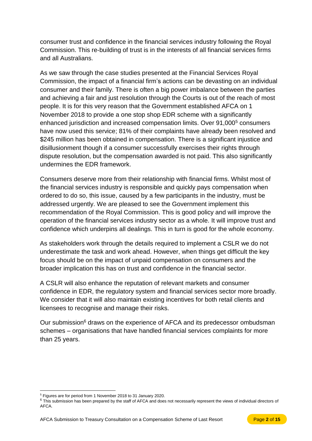consumer trust and confidence in the financial services industry following the Royal Commission. This re-building of trust is in the interests of all financial services firms and all Australians.

As we saw through the case studies presented at the Financial Services Royal Commission, the impact of a financial firm's actions can be devasting on an individual consumer and their family. There is often a big power imbalance between the parties and achieving a fair and just resolution through the Courts is out of the reach of most people. It is for this very reason that the Government established AFCA on 1 November 2018 to provide a one stop shop EDR scheme with a significantly enhanced jurisdiction and increased compensation limits. Over 91,000<sup>5</sup> consumers have now used this service; 81% of their complaints have already been resolved and \$245 million has been obtained in compensation. There is a significant injustice and disillusionment though if a consumer successfully exercises their rights through dispute resolution, but the compensation awarded is not paid. This also significantly undermines the EDR framework.

Consumers deserve more from their relationship with financial firms. Whilst most of the financial services industry is responsible and quickly pays compensation when ordered to do so, this issue, caused by a few participants in the industry, must be addressed urgently. We are pleased to see the Government implement this recommendation of the Royal Commission. This is good policy and will improve the operation of the financial services industry sector as a whole. It will improve trust and confidence which underpins all dealings. This in turn is good for the whole economy.

As stakeholders work through the details required to implement a CSLR we do not underestimate the task and work ahead. However, when things get difficult the key focus should be on the impact of unpaid compensation on consumers and the broader implication this has on trust and confidence in the financial sector.

A CSLR will also enhance the reputation of relevant markets and consumer confidence in EDR, the regulatory system and financial services sector more broadly. We consider that it will also maintain existing incentives for both retail clients and licensees to recognise and manage their risks.

Our submission<sup>6</sup> draws on the experience of AFCA and its predecessor ombudsman schemes – organisations that have handled financial services complaints for more than 25 years.

 $\overline{a}$ 

<sup>5</sup> Figures are for period from 1 November 2018 to 31 January 2020.

<sup>&</sup>lt;sup>6</sup> This submission has been prepared by the staff of AFCA and does not necessarily represent the views of individual directors of AFCA.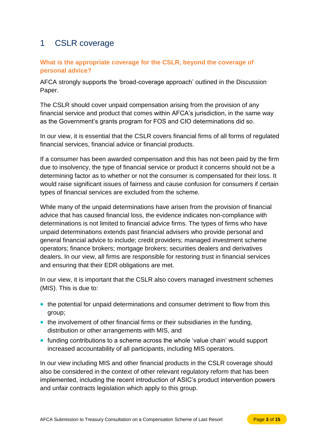# <span id="page-4-0"></span>1 CSLR coverage

## <span id="page-4-1"></span>**What is the appropriate coverage for the CSLR, beyond the coverage of personal advice?**

AFCA strongly supports the 'broad-coverage approach' outlined in the Discussion Paper.

The CSLR should cover unpaid compensation arising from the provision of any financial service and product that comes within AFCA's jurisdiction, in the same way as the Government's grants program for FOS and CIO determinations did so.

In our view, it is essential that the CSLR covers financial firms of all forms of regulated financial services, financial advice or financial products.

If a consumer has been awarded compensation and this has not been paid by the firm due to insolvency, the type of financial service or product it concerns should not be a determining factor as to whether or not the consumer is compensated for their loss. It would raise significant issues of fairness and cause confusion for consumers if certain types of financial services are excluded from the scheme.

While many of the unpaid determinations have arisen from the provision of financial advice that has caused financial loss, the evidence indicates non-compliance with determinations is not limited to financial advice firms. The types of firms who have unpaid determinations extends past financial advisers who provide personal and general financial advice to include; credit providers; managed investment scheme operators; finance brokers; mortgage brokers; securities dealers and derivatives dealers. In our view, all firms are responsible for restoring trust in financial services and ensuring that their EDR obligations are met.

In our view, it is important that the CSLR also covers managed investment schemes (MIS). This is due to:

- the potential for unpaid determinations and consumer detriment to flow from this group;
- the involvement of other financial firms or their subsidiaries in the funding, distribution or other arrangements with MIS, and
- funding contributions to a scheme across the whole 'value chain' would support increased accountability of all participants, including MIS operators.

In our view including MIS and other financial products in the CSLR coverage should also be considered in the context of other relevant regulatory reform that has been implemented, including the recent introduction of ASIC's product intervention powers and unfair contracts legislation which apply to this group.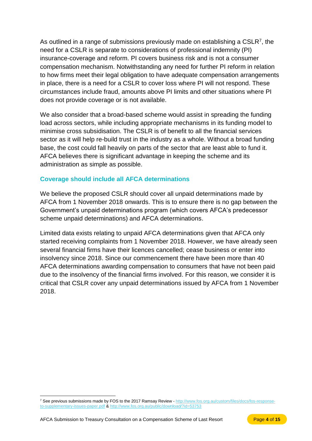As outlined in a range of submissions previously made on establishing a CSLR<sup>7</sup>, the need for a CSLR is separate to considerations of professional indemnity (PI) insurance-coverage and reform. PI covers business risk and is not a consumer compensation mechanism. Notwithstanding any need for further PI reform in relation to how firms meet their legal obligation to have adequate compensation arrangements in place, there is a need for a CSLR to cover loss where PI will not respond. These circumstances include fraud, amounts above PI limits and other situations where PI does not provide coverage or is not available.

We also consider that a broad-based scheme would assist in spreading the funding load across sectors, while including appropriate mechanisms in its funding model to minimise cross subsidisation. The CSLR is of benefit to all the financial services sector as it will help re-build trust in the industry as a whole. Without a broad funding base, the cost could fall heavily on parts of the sector that are least able to fund it. AFCA believes there is significant advantage in keeping the scheme and its administration as simple as possible.

### **Coverage should include all AFCA determinations**

We believe the proposed CSLR should cover all unpaid determinations made by AFCA from 1 November 2018 onwards. This is to ensure there is no gap between the Government's unpaid determinations program (which covers AFCA's predecessor scheme unpaid determinations) and AFCA determinations.

Limited data exists relating to unpaid AFCA determinations given that AFCA only started receiving complaints from 1 November 2018. However, we have already seen several financial firms have their licences cancelled; cease business or enter into insolvency since 2018. Since our commencement there have been more than 40 AFCA determinations awarding compensation to consumers that have not been paid due to the insolvency of the financial firms involved. For this reason, we consider it is critical that CSLR cover any unpaid determinations issued by AFCA from 1 November 2018.

 $\overline{a}$ 

<sup>7</sup> See previous submissions made by FOS to the 2017 Ramsay Review - [http://www.fos.org.au/custom/files/docs/fos-response](http://www.fos.org.au/custom/files/docs/fos-response-to-supplementary-issues-paper.pdf)[to-supplementary-issues-paper.pdf](http://www.fos.org.au/custom/files/docs/fos-response-to-supplementary-issues-paper.pdf) &<http://www.fos.org.au/public/download/?id=53753>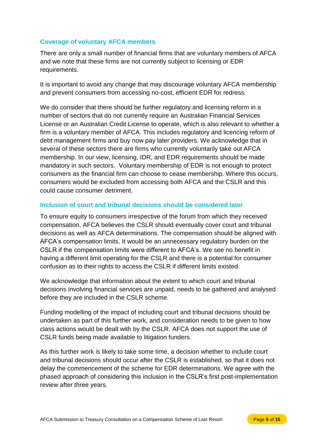## **Coverage of voluntary AFCA members**

There are only a small number of financial firms that are voluntary members of AFCA and we note that these firms are not currently subject to licensing or EDR requirements.

It is important to avoid any change that may discourage voluntary AFCA membership and prevent consumers from accessing no-cost, efficient EDR for redress.

We do consider that there should be further regulatory and licensing reform in a number of sectors that do not currently require an Australian Financial Services License or an Australian Credit License to operate, which is also relevant to whether a firm is a voluntary member of AFCA. This includes regulatory and licencing reform of debt management firms and buy now pay later providers. We acknowledge that in several of these sectors there are firms who currently voluntarily take out AFCA membership. In our view, licensing, IDR, and EDR requirements should be made mandatory in such sectors. Voluntary membership of EDR is not enough to protect consumers as the financial firm can choose to cease membership. Where this occurs, consumers would be excluded from accessing both AFCA and the CSLR and this could cause consumer detriment.

### **Inclusion of court and tribunal decisions should be considered later**

To ensure equity to consumers irrespective of the forum from which they received compensation, AFCA believes the CSLR should eventually cover court and tribunal decisions as well as AFCA determinations. The compensation should be aligned with AFCA's compensation limits. It would be an unnecessary regulatory burden on the CSLR if the compensation limits were different to AFCA's. We see no benefit in having a different limit operating for the CSLR and there is a potential for consumer confusion as to their rights to access the CSLR if different limits existed.

We acknowledge that information about the extent to which court and tribunal decisions involving financial services are unpaid, needs to be gathered and analysed before they are included in the CSLR scheme.

Funding modelling of the impact of including court and tribunal decisions should be undertaken as part of this further work, and consideration needs to be given to how class actions would be dealt with by the CSLR. AFCA does not support the use of CSLR funds being made available to litigation funders.

As this further work is likely to take some time, a decision whether to include court and tribunal decisions should occur after the CSLR is established, so that it does not delay the commencement of the scheme for EDR determinations. We agree with the phased approach of considering this inclusion in the CSLR's first post-implementation review after three years.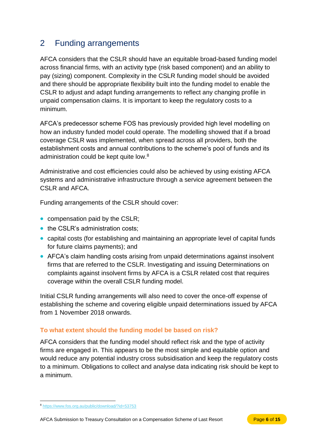# <span id="page-7-0"></span>2 Funding arrangements

AFCA considers that the CSLR should have an equitable broad-based funding model across financial firms, with an activity type (risk based component) and an ability to pay (sizing) component. Complexity in the CSLR funding model should be avoided and there should be appropriate flexibility built into the funding model to enable the CSLR to adjust and adapt funding arrangements to reflect any changing profile in unpaid compensation claims. It is important to keep the regulatory costs to a minimum.

AFCA's predecessor scheme FOS has previously provided high level modelling on how an industry funded model could operate. The modelling showed that if a broad coverage CSLR was implemented, when spread across all providers, both the establishment costs and annual contributions to the scheme's pool of funds and its administration could be kept quite low.<sup>8</sup>

Administrative and cost efficiencies could also be achieved by using existing AFCA systems and administrative infrastructure through a service agreement between the CSLR and AFCA.

Funding arrangements of the CSLR should cover:

- compensation paid by the CSLR;
- the CSLR's administration costs;
- capital costs (for establishing and maintaining an appropriate level of capital funds for future claims payments); and
- AFCA's claim handling costs arising from unpaid determinations against insolvent firms that are referred to the CSLR. Investigating and issuing Determinations on complaints against insolvent firms by AFCA is a CSLR related cost that requires coverage within the overall CSLR funding model.

Initial CSLR funding arrangements will also need to cover the once-off expense of establishing the scheme and covering eligible unpaid determinations issued by AFCA from 1 November 2018 onwards.

## <span id="page-7-1"></span>**To what extent should the funding model be based on risk?**

AFCA considers that the funding model should reflect risk and the type of activity firms are engaged in. This appears to be the most simple and equitable option and would reduce any potential industry cross subsidisation and keep the regulatory costs to a minimum. Obligations to collect and analyse data indicating risk should be kept to a minimum.

 $\overline{a}$ 

<sup>8</sup> <https://www.fos.org.au/public/download/?id=53753>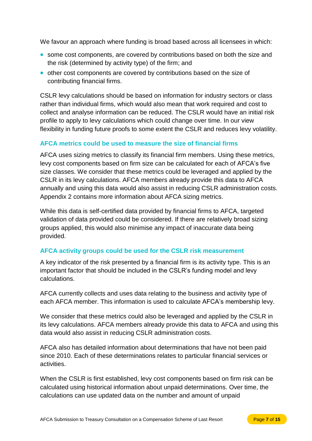We favour an approach where funding is broad based across all licensees in which:

- some cost components, are covered by contributions based on both the size and the risk (determined by activity type) of the firm; and
- other cost components are covered by contributions based on the size of contributing financial firms.

CSLR levy calculations should be based on information for industry sectors or class rather than individual firms, which would also mean that work required and cost to collect and analyse information can be reduced. The CSLR would have an initial risk profile to apply to levy calculations which could change over time. In our view flexibility in funding future proofs to some extent the CSLR and reduces levy volatility.

### **AFCA metrics could be used to measure the size of financial firms**

AFCA uses sizing metrics to classify its financial firm members. Using these metrics, levy cost components based on firm size can be calculated for each of AFCA's five size classes. We consider that these metrics could be leveraged and applied by the CSLR in its levy calculations. AFCA members already provide this data to AFCA annually and using this data would also assist in reducing CSLR administration costs. Appendix 2 contains more information about AFCA sizing metrics.

While this data is self-certified data provided by financial firms to AFCA, targeted validation of data provided could be considered. If there are relatively broad sizing groups applied, this would also minimise any impact of inaccurate data being provided.

#### **AFCA activity groups could be used for the CSLR risk measurement**

A key indicator of the risk presented by a financial firm is its activity type. This is an important factor that should be included in the CSLR's funding model and levy calculations.

AFCA currently collects and uses data relating to the business and activity type of each AFCA member. This information is used to calculate AFCA's membership levy.

We consider that these metrics could also be leveraged and applied by the CSLR in its levy calculations. AFCA members already provide this data to AFCA and using this data would also assist in reducing CSLR administration costs.

AFCA also has detailed information about determinations that have not been paid since 2010. Each of these determinations relates to particular financial services or activities.

When the CSLR is first established, levy cost components based on firm risk can be calculated using historical information about unpaid determinations. Over time, the calculations can use updated data on the number and amount of unpaid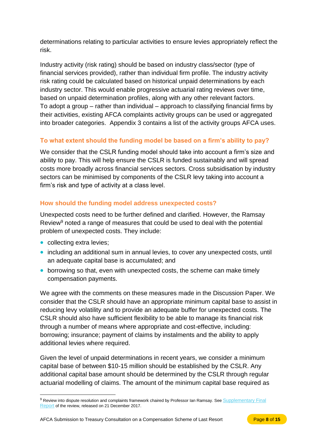determinations relating to particular activities to ensure levies appropriately reflect the risk.

Industry activity (risk rating) should be based on industry class/sector (type of financial services provided), rather than individual firm profile. The industry activity risk rating could be calculated based on historical unpaid determinations by each industry sector. This would enable progressive actuarial rating reviews over time, based on unpaid determination profiles, along with any other relevant factors. To adopt a group – rather than individual – approach to classifying financial firms by their activities, existing AFCA complaints activity groups can be used or aggregated into broader categories. Appendix 3 contains a list of the activity groups AFCA uses.

## <span id="page-9-0"></span>**To what extent should the funding model be based on a firm's ability to pay?**

We consider that the CSLR funding model should take into account a firm's size and ability to pay. This will help ensure the CSLR is funded sustainably and will spread costs more broadly across financial services sectors. Cross subsidisation by industry sectors can be minimised by components of the CSLR levy taking into account a firm's risk and type of activity at a class level.

## <span id="page-9-1"></span>**How should the funding model address unexpected costs?**

Unexpected costs need to be further defined and clarified. However, the Ramsay Review $9$  noted a range of measures that could be used to deal with the potential problem of unexpected costs. They include:

• collecting extra levies;

 $\overline{a}$ 

- including an additional sum in annual levies, to cover any unexpected costs, until an adequate capital base is accumulated; and
- borrowing so that, even with unexpected costs, the scheme can make timely compensation payments.

We agree with the comments on these measures made in the Discussion Paper. We consider that the CSLR should have an appropriate minimum capital base to assist in reducing levy volatility and to provide an adequate buffer for unexpected costs. The CSLR should also have sufficient flexibility to be able to manage its financial risk through a number of means where appropriate and cost-effective, including: borrowing; insurance; payment of claims by instalments and the ability to apply additional levies where required.

Given the level of unpaid determinations in recent years, we consider a minimum capital base of between \$10-15 million should be established by the CSLR. Any additional capital base amount should be determined by the CSLR through regular actuarial modelling of claims. The amount of the minimum capital base required as

<sup>9</sup> Review into dispute resolution and complaints framework chaired by Professor Ian Ramsay. See Supplementary Final [Report](https://treasury.gov.au/publication/supplementary-final-report) of the review, released on 21 December 2017.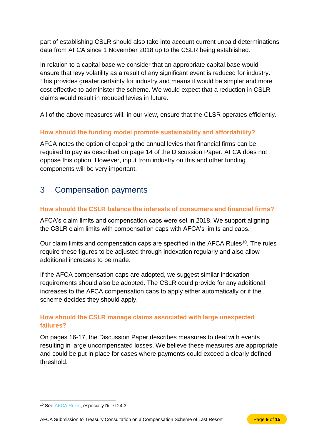part of establishing CSLR should also take into account current unpaid determinations data from AFCA since 1 November 2018 up to the CSLR being established.

In relation to a capital base we consider that an appropriate capital base would ensure that levy volatility as a result of any significant event is reduced for industry. This provides greater certainty for industry and means it would be simpler and more cost effective to administer the scheme. We would expect that a reduction in CSLR claims would result in reduced levies in future.

All of the above measures will, in our view, ensure that the CLSR operates efficiently.

### <span id="page-10-0"></span>**How should the funding model promote sustainability and affordability?**

AFCA notes the option of capping the annual levies that financial firms can be required to pay as described on page 14 of the Discussion Paper. AFCA does not oppose this option. However, input from industry on this and other funding components will be very important.

# <span id="page-10-1"></span>3 Compensation payments

### <span id="page-10-2"></span>**How should the CSLR balance the interests of consumers and financial firms?**

AFCA's claim limits and compensation caps were set in 2018. We support aligning the CSLR claim limits with compensation caps with AFCA's limits and caps.

Our claim limits and compensation caps are specified in the AFCA Rules<sup>10</sup>. The rules require these figures to be adjusted through indexation regularly and also allow additional increases to be made.

If the AFCA compensation caps are adopted, we suggest similar indexation requirements should also be adopted. The CSLR could provide for any additional increases to the AFCA compensation caps to apply either automatically or if the scheme decides they should apply.

## <span id="page-10-3"></span>**How should the CSLR manage claims associated with large unexpected failures?**

On pages 16-17, the Discussion Paper describes measures to deal with events resulting in large uncompensated losses. We believe these measures are appropriate and could be put in place for cases where payments could exceed a clearly defined threshold.

 $\overline{a}$ <sup>10</sup> See [AFCA Rules,](https://www.afca.org.au/about-afca/rules-and-guidelines/) especially Rule D.4.3.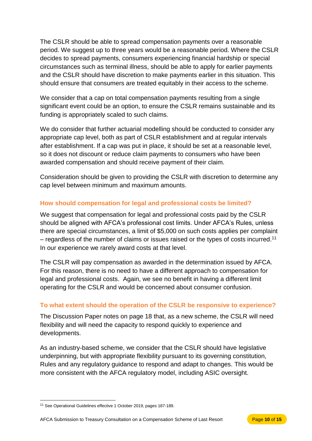The CSLR should be able to spread compensation payments over a reasonable period. We suggest up to three years would be a reasonable period. Where the CSLR decides to spread payments, consumers experiencing financial hardship or special circumstances such as terminal illness, should be able to apply for earlier payments and the CSLR should have discretion to make payments earlier in this situation. This should ensure that consumers are treated equitably in their access to the scheme.

We consider that a cap on total compensation payments resulting from a single significant event could be an option, to ensure the CSLR remains sustainable and its funding is appropriately scaled to such claims.

We do consider that further actuarial modelling should be conducted to consider any appropriate cap level, both as part of CSLR establishment and at regular intervals after establishment. If a cap was put in place, it should be set at a reasonable level, so it does not discount or reduce claim payments to consumers who have been awarded compensation and should receive payment of their claim.

Consideration should be given to providing the CSLR with discretion to determine any cap level between minimum and maximum amounts.

## <span id="page-11-0"></span>**How should compensation for legal and professional costs be limited?**

We suggest that compensation for legal and professional costs paid by the CSLR should be aligned with AFCA's professional cost limits. Under AFCA's Rules, unless there are special circumstances, a limit of \$5,000 on such costs applies per complaint – regardless of the number of claims or issues raised or the types of costs incurred.<sup>11</sup> In our experience we rarely award costs at that level.

The CSLR will pay compensation as awarded in the determination issued by AFCA. For this reason, there is no need to have a different approach to compensation for legal and professional costs. Again, we see no benefit in having a different limit operating for the CSLR and would be concerned about consumer confusion.

## <span id="page-11-1"></span>**To what extent should the operation of the CSLR be responsive to experience?**

The Discussion Paper notes on page 18 that, as a new scheme, the CSLR will need flexibility and will need the capacity to respond quickly to experience and developments.

As an industry-based scheme, we consider that the CSLR should have legislative underpinning, but with appropriate flexibility pursuant to its governing constitution, Rules and any regulatory guidance to respond and adapt to changes. This would be more consistent with the AFCA regulatory model, including ASIC oversight.

 $\overline{a}$ <sup>11</sup> See Operational Guidelines effective 1 October 2019, pages 187-189.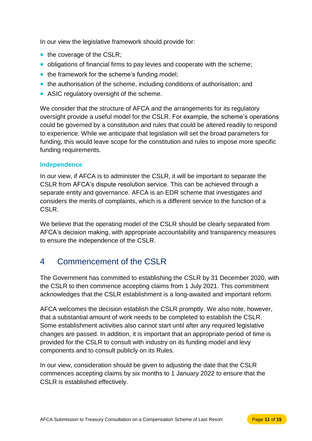In our view the legislative framework should provide for:

- the coverage of the CSLR;
- obligations of financial firms to pay levies and cooperate with the scheme;
- the framework for the scheme's funding model;
- the authorisation of the scheme, including conditions of authorisation; and
- ASIC regulatory oversight of the scheme.

We consider that the structure of AFCA and the arrangements for its regulatory oversight provide a useful model for the CSLR. For example, the scheme's operations could be governed by a constitution and rules that could be altered readily to respond to experience. While we anticipate that legislation will set the broad parameters for funding, this would leave scope for the constitution and rules to impose more specific funding requirements.

#### **Independence**

In our view, if AFCA is to administer the CSLR, it will be important to separate the CSLR from AFCA's dispute resolution service. This can be achieved through a separate entity and governance. AFCA is an EDR scheme that investigates and considers the merits of complaints, which is a different service to the function of a CSLR.

We believe that the operating model of the CSLR should be clearly separated from AFCA's decision making, with appropriate accountability and transparency measures to ensure the independence of the CSLR.

# <span id="page-12-0"></span>4 Commencement of the CSLR

The Government has committed to establishing the CSLR by 31 December 2020, with the CSLR to then commence accepting claims from 1 July 2021. This commitment acknowledges that the CSLR establishment is a long-awaited and important reform.

AFCA welcomes the decision establish the CSLR promptly. We also note, however, that a substantial amount of work needs to be completed to establish the CSLR. Some establishment activities also cannot start until after any required legislative changes are passed. In addition, it is important that an appropriate period of time is provided for the CSLR to consult with industry on its funding model and levy components and to consult publicly on its Rules.

In our view, consideration should be given to adjusting the date that the CSLR commences accepting claims by six months to 1 January 2022 to ensure that the CSLR is established effectively.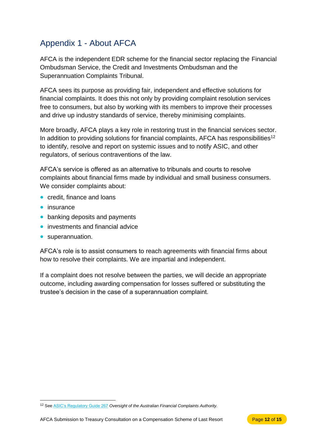# <span id="page-13-0"></span>Appendix 1 - About AFCA

AFCA is the independent EDR scheme for the financial sector replacing the Financial Ombudsman Service, the Credit and Investments Ombudsman and the Superannuation Complaints Tribunal.

AFCA sees its purpose as providing fair, independent and effective solutions for financial complaints. It does this not only by providing complaint resolution services free to consumers, but also by working with its members to improve their processes and drive up industry standards of service, thereby minimising complaints.

More broadly, AFCA plays a key role in restoring trust in the financial services sector. In addition to providing solutions for financial complaints, AFCA has responsibilities<sup>12</sup> to identify, resolve and report on systemic issues and to notify ASIC, and other regulators, of serious contraventions of the law.

AFCA's service is offered as an alternative to tribunals and courts to resolve complaints about financial firms made by individual and small business consumers. We consider complaints about:

- credit, finance and loans
- insurance

 $\overline{a}$ 

- banking deposits and payments
- investments and financial advice
- superannuation.

AFCA's role is to assist consumers to reach agreements with financial firms about how to resolve their complaints. We are impartial and independent.

If a complaint does not resolve between the parties, we will decide an appropriate outcome, including awarding compensation for losses suffered or substituting the trustee's decision in the case of a superannuation complaint.

<sup>12</sup> See [ASIC's Regulatory Guide 267](https://download.asic.gov.au/media/4773579/rg267-published-20-june-2018.pdf) *Oversight of the Australian Financial Complaints Authority.*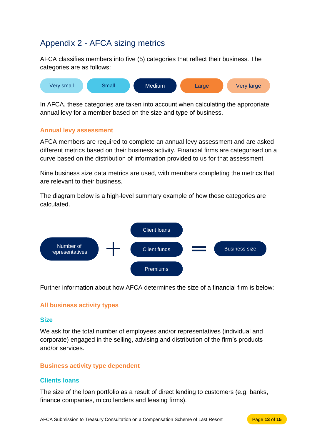# <span id="page-14-0"></span>Appendix 2 - AFCA sizing metrics

AFCA classifies members into five (5) categories that reflect their business. The categories are as follows:



In AFCA, these categories are taken into account when calculating the appropriate annual levy for a member based on the size and type of business.

#### <span id="page-14-1"></span>**Annual levy assessment**

AFCA members are required to complete an annual levy assessment and are asked different metrics based on their business activity. Financial firms are categorised on a curve based on the distribution of information provided to us for that assessment.

Nine business size data metrics are used, with members completing the metrics that are relevant to their business.

The diagram below is a high-level summary example of how these categories are calculated.



Further information about how AFCA determines the size of a financial firm is below:

#### <span id="page-14-2"></span>**All business activity types**

#### **Size**

We ask for the total number of employees and/or representatives (individual and corporate) engaged in the selling, advising and distribution of the firm's products and/or services.

#### <span id="page-14-3"></span>**Business activity type dependent**

#### **Clients loans**

The size of the loan portfolio as a result of direct lending to customers (e.g. banks, finance companies, micro lenders and leasing firms).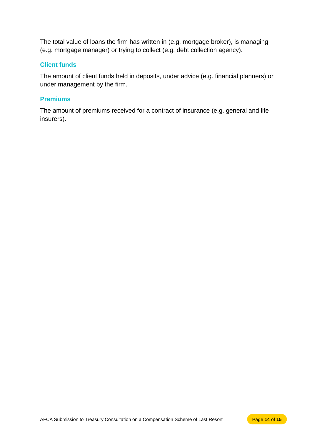The total value of loans the firm has written in (e.g. mortgage broker), is managing (e.g. mortgage manager) or trying to collect (e.g. debt collection agency).

#### **Client funds**

The amount of client funds held in deposits, under advice (e.g. financial planners) or under management by the firm.

#### **Premiums**

The amount of premiums received for a contract of insurance (e.g. general and life insurers).